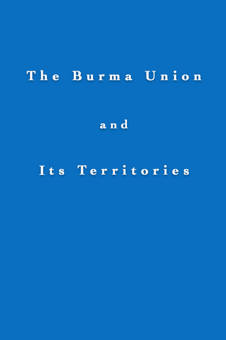# The Burma Union

and

## Its Territories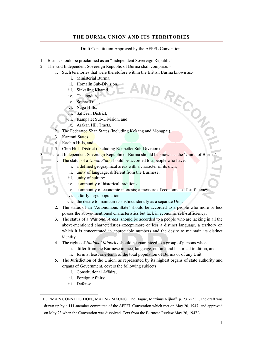#### **THE BURMA UNION AND ITS TERRITORIES**

Draft Constitution Approved by the AFPFL Convention<sup>1</sup>

- 1. Burma should be proclaimed as an "Independent Sovereign Republic".
- 2. The said Independent Sovereign Republic of Burma shall comprise:
	- 1. Such territories that were theretofore within the British Burma known as:-<br>
	i. Ministerial Burma,<br>
	ii. Homalin Sub-Division,<br>
	iii. Sinkaling Khamti,<br>
	iv. Thaungduh,<br>
	ara Tract,
		- i. Ministerial Burma,
		- ii. Homalin Sub-Division,
		- iii. Sinkaling Khamti,
		- iv. Thaungduh,
		- v. Somra Tract,
		- vi. Naga Hills,
		- vii. Salween District,
		- viii. Kampalet Sub-Division, and
		- ix. Arakan Hill Tracts.
	- The Federated Shan States (including Kokang and Mongpai).
	- 3. Karenni States.
	- 4. Kachin Hills, and
	- 5. Chin Hills District (excluding Kanpetlet Sub-Division).
	- The said Independent Sovereign Republic of Burma should be known as the 'Union of Burma'
	- 1. The status of a *Union State* should be accorded to a people who have:
		- i. a defined geographical areas with a character of its own;
		- ii. unity of language, different from the Burmese;
		- iii. unity of culture;
		- iv. community of historical traditions;
		- v. community of economic interests; a measure of economic self-sufficiency;
		- vi. a fairly large population;
		- vii. the desire to maintain its distinct identity as a separate Unit.
		- 2. The status of an 'Autonomous State' should be accorded to a people who more or less posses the above-mentioned characteristics but lack in economic self-sufficiency.
		- 3. The status of a '*National Areas'* should be accorded to a people who are lacking in all the above-mentioned characteristics except more or less a distinct language, a territory on which it is concentrated in appreciable numbers and the desire to maintain its distinct identity.
		- 4. The rights of *National Minority* should be guaranteed to a group of persons who:
			- i. differ from the Burmese in race, language, culture and historical tradition, and
			- ii. form at least one-tenth of the total population of Burma or of any Unit.
		- 5. The Jurisdiction of the Union, as represented by its highest organs of state authority and organs of Government, covers the following subjects:
			- i. Constitutional Affairs;
			- ii. Foreign Affairs;
			- iii. Defense.

l

<sup>&</sup>lt;sup>1</sup> BURMA'S CONSTITUTION., MAUNG MAUNG. The Hague, Martinus Nijhoff. p. 231-253. (The draft was drawn up by a 111-member committee of the AFPFL Convention which met on May 20, 1947, and approved on May 23 when the Convention was dissolved. Text from the Burmese Review May 26, 1947.)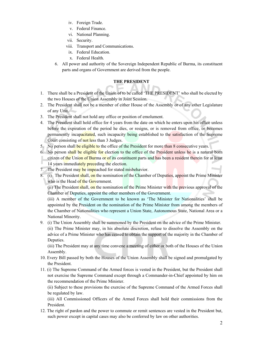- iv. Foreign Trade.
- v. Federal Finance.
- vi. National Planning.
- vii. Security.
- viii. Transport and Communications.
- ix. Federal Education.
- x. Federal Health.
- 6. All power and authority of the Sovereign Independent Republic of Burma, its constituent parts and organs of Government are derived from the people.

#### **THE PRESIDENT**

- 1. There shall be a President of the Union of to be called 'THE PRESIDENT' who shall be elected by the two Houses of the Union Assembly in Joint Session.
- 2. The President shall not be a member of either House of the Assembly or of any other Legislature of any Unit.
- 3. The President shall not hold any office or position of emolument.
- 4. The President shall hold office for 4 years from the date on which he enters upon his office unless before the expiration of the period he dies, or resigns, or is removed from office, or becomes permanently incapacitated, such incapacity being established to the satisfaction of the Supreme Court consisting of not less than 3 Judges.
- 5. No person shall be eligible to the office of the President for more than 8 consecutive years.
- 6. No person shall be eligible for election to the office of the President unless he is a natural born citizen of the Union of Burma or of its constituent parts and has been a resident therein for at least 14 years immediately preceding the election.
- 7. The President may be impeached for stated misbehavior.
- 8. (i) The President shall, on the nomination of the Chamber of Deputies, appoint the Prime Minister who is the Head of the Government.

(ii) The President shall, on the nomination of the Prime Minister with the previous approval of the Chamber of Deputies, appoint the other members of the Government.

(iii) A member of the Government to be known as 'The Minister for Nationalities' shall be appointed by the President on the nomination of the Prime Minister from among the members of the Chamber of Nationalities who represent a Union State, Autonomous State, National Area or a National Minority.

9. (i) The Union Assembly shall be summoned by the President on the advice of the Prime Minister. (ii) The Prime Minister may, in his absolute discretion, refuse to dissolve the Assembly on the advice of a Prime Minister who has ceased to obtain the support of the majority in the Chamber of Deputies.

(iii) The President may at any time convene a meeting of either or both of the Houses of the Union Assembly.

- 10. Every Bill passed by both the Houses of the Union Assembly shall be signed and promulgated by the President.
- 11. (i) The Supreme Command of the Armed forces is vested in the President, but the President shall not exercise the Supreme Command except through a Commander-in-Chief appointed by him on the recommendation of the Prime Minister.

(ii) Subject to these provisions the exercise of the Supreme Command of the Armed Forces shall be regulated by law.

(iii) All Commissioned Officers of the Armed Forces shall hold their commissions from the President.

12. The right of pardon and the power to commute or remit sentences are vested in the President but, such power except in capital cases may also be conferred by law on other authorities.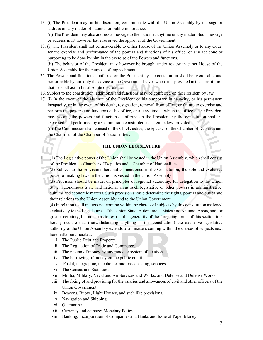13. (i) The President may, at his discretion, communicate with the Union Assembly by message or address on any matter of national or public importance.

(ii) The President may also address a message to the nation at anytime or any matter. Such message or address must however have received the approval of the Government.

13. (i) The President shall not be answerable to either House of the Union Assembly or to any Court for the exercise and performance of the powers and functions of his office, or any act done or purporting to be done by him in the exercise of the Powers and functions.

(ii) The behavior of the President may however be brought under review in either House of the Union Assembly for the purpose of impeachment.

- 25. The Powers and functions conferred on the President by the constitution shall be exercisable and performable by him only the advice of the Government saves where it is provided in the constitution that he shall act in his absolute discretion.
- 16. Subject to the constitution, additional and functions may be conferred on the President by law.
- 17. (i) In the event of the absence of the President or his temporary in capacity, or his permanent incapacity, or in the event of his death, resignation, removal from office, or failure to exercise and perform the powers and functions of his office, or at any time at which the office of the President may vacant, the powers and functions conferred on the President by the constitution shall be exercised and performed by a Commission constituted as herein below provided.

(ii) The Commission shall consist of the Chief Justice, the Speaker of the Chamber of Deputies and the Chairman of the Chamber of Nationalities.

#### **THE UNION LEGISLATURE**

(1) The Legislative power of the Union shall be vested in the Union Assembly, which shall consist of the President, a Chamber of Deputies and a Chamber of Nationalities.

(2) Subject to the provisions hereinafter mentioned in the Constitution, the sole and exclusive power of making laws in the Union is vested in the Union Assembly.

(3) Provision should be made, on principles of regional autonomy, for delegation to the Union State, autonomous State and national areas such legislative or other powers in administrative, cultural and economic matters. Such provision should determine the rights, powers and duties and their relations to the Union Assembly and to the Union Government.

(4) In relation to all matters not coming within the classes of subjects by this constitution assigned exclusively to the Legislatures of the Union State, Autonomous States and National Areas, and for greater certainty, but not so as to restrict the generality of the foregoing terms of this section it is hereby declare that (notwithstanding anything in this constitution) the exclusive legislative authority of the Union Assembly extends to all matters coming within the classes of subjects next hereinafter enumerated:

- i. The Public Debt and Property.
- ii. The Regulation of Trade and Commerce.
- iii. The raising of money by any mode or system of taxation.
- iv. The borrowing of money on the public credit.
- v. Postal, telegraphic, telephonic, and broadcasting, services.
- vi. The Census and Statistics.
- vii. Militia, Military, Naval and Air Services and Works, and Defense and Defense Works.
- viii. The fixing of and providing for the salaries and allowances of civil and other officers of the Union Government.
- ix. Beacons, Buoys, Light Houses, and such like provisions.
- x. Navigation and Shipping.
- xi. Quarantine.
- xii. Currency and coinage: Monetary Policy.
- xiii. Banking, incorporation of Companies and Banks and Issue of Paper Money.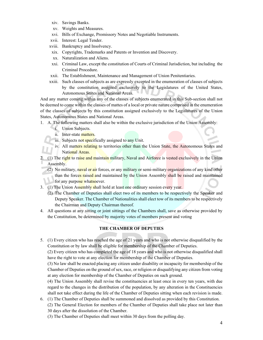- xiv. Savings Banks.
- xv. Weights and Measures.
- xvi. Bills of Exchange, Promissory Notes and Negotiable Instruments.
- xvii. Interest: Legal Tender.
- xviii. Bankruptcy and Insolvency.
- xix. Copyrights, Trademarks and Patents or Invention and Discovery.
- xx. Naturalization and Aliens.
- xxi. Criminal Law, except the constitution of Courts of Criminal Jurisdiction, but including the Criminal Procedure.
- xxii. The Establishment, Maintenance and Management of Union Penitentiaries.
- xxiii. Such classes of subjects as are expressly excepted in the enumeration of classes of subjects by the constitution assigned exclusively to the Legislatures of the United States, Autonomous States and National Areas.

And any matter coming within any of the classes of subjects enumerated in this Sub-section shall not be deemed to come within the classes of mattes of a local or private nature comprised in the enumeration of the classes of subjects by this constitution assigned exclusively to the Legislatures of the Union States, Autonomous States and National Areas.

- 1. A. The following matters shall also be within the exclusive jurisdiction of the Union Assembly:
	- i. Union Subjects.
	- ii. Inter-state matters.
	- iii. Subjects not specifically assigned to any Unit.
	- iv. All matters relating to territories other than the Union State, the Autonomous States and National Areas.

(1) The right to raise and maintain military, Naval and Airforce is vested exclusively in the Union Assembly.

- (2) No military, naval or air forces, or any military or semi-military organizations of any kind other than the forces raised and maintained by the Union Assembly shall be raised and maintained for any purpose whatsoever.
- 3. (1) The Union Assembly shall hold at least one ordinary session every year.
	- (2) The Chamber of Deputies shall elect two of its members to be respectively the Speaker and Deputy Speaker. The Chamber of Nationalities shall elect tow of its members to be respectively the Chairman and Deputy Chairman thereof.
- 4. All questions at any sitting or joint sittings of the Chambers shall, save as otherwise provided by the Constitution, be determined by majority votes of members present and voting

#### **THE CHAMBER OF DEPUTIES**

5. (1) Every citizen who has reached the age of 21 years and who is not otherwise disqualified by the Constitution or by law shall be eligible for membership of the Chamber of Deputies.

(2) Every citizen who has completed the age of 18 years and who is not otherwise disqualified shall have the right to vote at any election for membership of the Chamber of Deputies.

(3) No law shall be enacted placing any citizen under disability or incapacity for membership of the Chamber of Deputies on the ground of sex, race, or religion or disqualifying any citizen from voting at any election for membership of the Chamber of Deputies on such ground.

(4) The Union Assembly shall revise the constituencies at least once in every ten years, with due regard to the changes in the distribution of the population, by any alteration in the Constituencies shall not take effect during the life of the Chamber of Deputies sitting when each revision is made.

- 6. (1) The Chamber of Deputies shall be summoned and dissolved as provided by this Constitution. (2) The General Election for members of the Chamber of Deputies shall take place not later than 30 days after the dissolution of the Chamber.
	- (3) The Chamber of Deputies shall meet within 30 days from the polling day.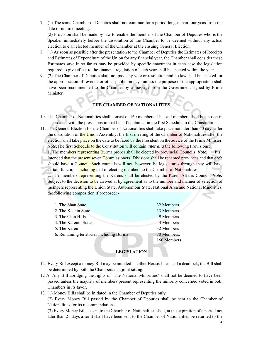7. (1) The same Chamber of Deputies shall not continue for a period longer than four yeas from the date of its first meeting.

(2) Provision shall be made by law to enable the member of the Chamber of Deputies who is the Speaker immediately before the dissolution of the Chamber to be deemed without any actual election to e an elected member of the Chamber at the ensuing General Election.

- 8. (1) As soon as possible after the presentation to the Chamber of Deputies the Estimates of Receipts and Estimates of Expenditure of the Union for any financial year, the Chamber shall consider these Estimates save in so far as may be provided by specific enactment in each case the legislation required to give effect to the financial regulation of such year shall be enacted within the year.
- 9. (2) The Chamber of Deputies shall not pass any vote or resolution and no law shall be enacted for the appropriation of revenue or other public moneys unless the purpose of the appropriation shall have been recommended to the Chamber by a message from the Government signed by Prime Minister.

### **THE CHAMBER OF NATIONALITIES**

- 10. The Chamber of Nationalities shall consist of 160 members. The said members shall be chosen in accordance with the provisions in that behalf contained in the first Schedule to the Constitution.
- 11. The General Election for the Chamber of Nationalities shall take place not later than 60 days after the dissolution of the Union Assembly, the first meeting of the Chamber of Nationalities after the election shall take place on the date to be fixed by the President on the advice of the Prime Minister. *Note:* The first Schedule to the Constitution will contain *inter alia* the following Provisions:

1. The members representing Burma proper shall be elected by provincial Councils: *Note:* Itis intended that the present seven Commissioners' Divisions shall be renamed provinces and that each should have a Council. Such councils will not, however, be legislatures through they will have certain functions **including** that of electing members to the Chamber of Nationalities.

2. The members representing the Karens shall be elected by the Karen Affairs Council. *Note:*  Subject to the decision to be arrived at by agreement as to the number and manner of selection of members representing the Union State, Autonomous State, National Area and National Minorities, the following composition if proposed: -

| 1. The Shan State                        | 32 Members   |
|------------------------------------------|--------------|
| 2. The Kachin State                      | 13 Members   |
| 3. The Chin Hills                        | 9 Members    |
| 4. The Karenni States                    | 4 Members    |
| 5. The Karen                             | 32 Members   |
| 6. Remaining territories including Burma | 70 Members.  |
|                                          | 160 Members. |

#### **LEGISLATION**

- 12. Every Bill except a money Bill may be initiated in either House. In case of a deadlock, the Bill shall be determined by both the Chambers in a joint sitting.
- 12 A. Any Bill abridging the rights of 'The National Minorities' shall not be deemed to have been passed unless the majority of members present representing the minority concerned voted in both Chambers in its favor.
- 13. (1) Money Bills shall be initiated in the Chamber of Deputies only.

(2) Every Money Bill passed by the Chamber of Deputies shall be sent to the Chamber of Nationalities for its recommendations.

(3) Every Money Bill so sent to the Chamber of Nationalities shall, at the expiration of a period not later than 21 days after it shall have been sent to the Chamber of Nationalities be returned to the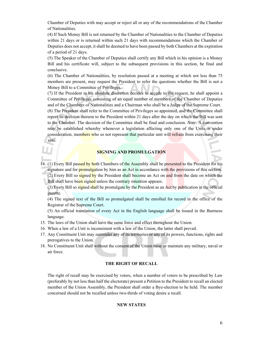Chamber of Deputies with may accept or reject all or any of the recommendations of the Chamber of Nationalities.

(4) If Such Money Bill is not returned by the Chamber of Nationalities to the Chamber of Deputies within 21 days or is returned within such 21 days with recommendations which the Chamber of Deputies does not accept, it shall be deemed to have been passed by both Chambers at the expiration of a period of 21 days.

(5) The Speaker of the Chamber of Deputies shall certify any Bill which in his opinion is a Money Bill and his certificate will, subject to the subsequent provisions in this section, be final and conclusive.

(6) The Chamber of Nationalities, by resolution passed at a meeting at which not less than 75 members are present, may request the President to refer the questions whether the Bill is not a Money Bill to a Committee of Privileges.

(7) If the President in his absolute discretion decides to accede to the request, he shall appoint a Committee of Privileges consisting of an equal number of members of the Chamber of Deputies and of the Chambers of Nationalities and a Chairman who shall be a Judge of the Supreme Court. (8) The President shall refer to the Committee of Privileges so appointed, and the Committee shall report its decision thereon to the President within 21 days after the day on which the Bill was sent to the Chamber. The decision of the Committee shall be final and conclusion. *Note:* A convention may be established whereby whenever a legislation affecting only one of the Units is under consideration, members who so not represent that particular unit will refrain from exercising their vote.

#### **SIGNING AND PROMULGATION**

14. (1) Every Bill passed by both Chambers of the Assembly shall be presented to the President for his signature and for **promulgation** by him as an Act in accordance with the provisions of this section. (2) Every Bill so signed by the President shall become an Act on and from the date on which the Bill shall have been signed unless the contrary intention appears.

(3) Every Bill so signed shall be promulgate by the President as an Act by publication in the official gazette.

(4) The signed text of the Bill so promulgated shall be enrolled for record in the office of the Registrar of the Supreme Court.

(5) An official translation of every Act in the English language shall be issued in the Burmese language.

- 15. The laws of the Union shall have the same force and effect throughout the Union.
- 16. When a law of a Unit is inconsistent with a law of the Union, the latter shall prevail.
- 17. Any Constituent Unit may surrender any of its territories or any of its powers, functions, rights and prerogatives to the Union.
- 18. No Constituent Unit shall without the consent of the Union raise or maintain any military, naval or air force.

#### **THE RIGHT OF RECALL**

The right of recall may be exercised by voters, when a number of voters to be prescribed by Law (preferably by not less than half the electorate) present a Petition to the President to recall an elected member of the Union Assembly, the President shall order a Bye-election to he held. The member concerned should not be recalled unless two-thirds of voting desire a recall.

#### **NEW STATES**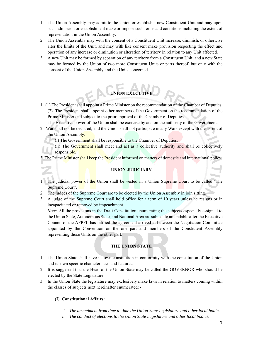- 1. The Union Assembly may admit to the Union or establish a new Constituent Unit and may upon such admission or establishment make or impose such terms and conditions including the extent of representation in the Union Assembly.
- 2. The Union Assembly may with the consent of a Constituent Unit increase, diminish, or otherwise alter the limits of the Unit, and may with like consent make provision respecting the effect and operation of any increase or diminution or alteration of territory in relation to any Unit affected.
- 3. A new Unit may be formed by separation of any territory from a Constituent Unit, and a new State may be formed by the Union of two more Constituent Units or parts thereof, but only with the consent of the Union Assembly and the Units concerned.

### **UNION EXECUTIVE**

1. (1) The President shall appoint a Prime Minister on the recommendation of the Chamber of Deputies. (2). The President shall appoint other members of the Government on the recommendation of the Prime Minister and subject to the prior approval of the Chamber of Deputies.

The Executive power of the Union shall be exercise by and on the authority of the Government.

- 2. War shall not be declared, and the Union shall not participate in any Wars except with the assent of the Union Assembly.
	- (i) The Government shall be responsible to the Chamber of Deputies.
	- (ii) The Government shall meet and act as a collective authority and shall be collectively responsible.

3. The Prime Minister shall keep the President informed on matters of domestic and international policy.

#### **UNION JUDICIARY**

- 1. The judicial power of the Union shall be vested in a Union Supreme Court to be called 'The Supreme Court'.
- 2. The judges of the Supreme Court are to be elected by the Union Assembly in join sitting.
- 3. A judge of the Supreme Court shall hold office for a term of 10 years unless he resigns or in incapacitated or removed by impeachment.

*Note:* All the provisions in the Draft Constitution enumerating the subjects especially assigned to the Union State, Autonomous State, and National Area are subject to amendable after the Executive Council of the AFPFL has ratified the agreement arrived at between the Negotiation Committee appointed by the Convention on the one part and members of the Constituent Assembly representing those Units on the other part.

### **THE UNION STATE**

- 1. The Union State shall have its own constitution in conformity with the constitution of the Union and its own specific characteristics and features.
- 2. It is suggested that the Head of the Union State may be called the GOVERNOR who should be elected by the State Legislature.
- 3. In the Union State the legislature may exclusively make laws in relation to matters coming within the classes of subjects next hereinafter enumerated: -

#### **(I). Constitutional Affairs:**

- *i. The amendment from time to time the Union State Legislature and other local bodies.*
- *ii. The conduct of elections to the Union State Legislature and other local bodies.*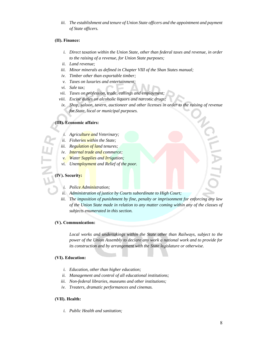iii. The establishment and tenure of Union State officers and the appointment and payment *of State officers.* 

#### **(II). Finance:**

- *i. Direct taxation within the Union State, other than federal taxes and revenue, in order to the raising of a revenue, for Union State purposes;*
- *ii. Land revenue;*
- *iii. Minor minerals as defined in Chapter VIII of the Shan States manual;*
- *iv. Timber other than exportable timber;*
- *v. Taxes on luxuries and entertainment;*
- *vi. Sale tax;*
- *vii. Taxes on profession, trade, callings and employment;*
- *viii. Excise duties on alcoholic liquors and narcotic drugs;*
- *ix. Shop, saloon, tavern, auctioneer and other licenses in order to the raising of revenue for State, local or municipal purposes.*

#### **(III). Economic affairs:**

- *i. Agriculture and Veterinary;*
- *ii. Fisheries within the State;*
- *iii. Regulation of land tenures;*
- *iv. Internal trade and commerce;*
- *v. Water Supplies and Irrigation;*
- *vi. Unemployment and Relief of the poor.*

#### **(IV). Security:**

- *i. Police Administration;*
- *ii. Administration of justice by Courts subordinate to High Court;*
- *iii. The imposition of punishment by fine, penalty or imprisonment for enforcing any law of the Union State made in relation to any matter coming within any of the classes of subjects enumerated in this section.*

#### **(V). Communication:**

*Local works and undertakings within the State other than Railways, subject to the power of the Union Assembly to declare any work a national work and to provide for its construction and by arrangement with the State legislature or otherwise.* 

#### **(VI). Education:**

- *i. Education, other than higher education;*
- *ii. Management and control of all educational institutions;*
- *iii. Non-federal libraries, museums and other institutions;*
- *iv. Treaters, dramatic performances and cinemas.*

#### **(VII). Health:**

*i. Public Health and sanitation;*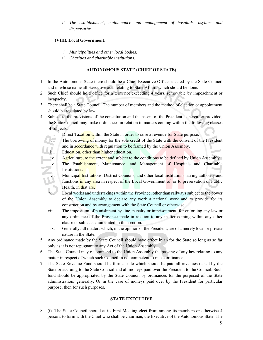*ii. The establishment, maintenance and management of hospitals, asylums and dispensaries.* 

#### **(VIII). Local Government:**

- *i. Municipalities and other local bodies;*
- *ii. Charities and charitable institutions.*

#### **AUTONOMOUS STATE** (**CHIEF OF STATE)**

- 1. In the Autonomous State there should be a Chief Executive Officer elected by the State Council and in whose name all Executive acts relating to State Affairs which should be done.
- 2. Such Chief should hold office for a term not exceeding 4 years, removable by impeachment or incapacity.
- 3. There shall be a State Council. The number of members and the method of election or appointment should be regulated by law.
- 4. Subject to the provisions of the constitution and the assent of the President as hereafter provided, the State Council may make ordinances in relation to matters coming within the following classes of subjects:
	- i. Direct Taxation within the State in order to raise a revenue for State purpose.
	- ii. The borrowing of money for the sole credit of the State with the consent of the President and in accordance with regulation to be framed by the Union Assembly.
	- and in accordance with regulation to be<br>iii. Education, other than higher education.
	- iv. Agriculture, to the extent and subject to the conditions to be defined by Union Assembly.
	- v. The Establishment, Maintenance, and Management of Hospitals and Charitable Institutions.
	- vi. Municipal Institutions, District Councils, and other local institutions having authority and functions in any area in respect of the Local Government of, or to preservation of Public Health, in that are.
	- vii. Local works and undertakings within the Province, other than railways subject to the power of the Union Assembly to declare any work a national work and to provide for its construction and by arrangement with the State Council or otherwise.
	- viii. The imposition of punishment by fine, penalty or imprisonment, for enforcing any law or any ordinance of the Province made in relation to any matter coming within any other clause or subjects enumerated in this section.
	- ix. Generally, all matters which, in the opinion of the President, are of a merely local or private nature in the State.
- 5. Any ordinance made by the State Council should have effect in an for the State so long as so far only as it is not repugnant to any Act of the Union Assembly.
- 6. The State Council may recommend to the Union Assembly the passing of any law relating to any matter in respect of which such Council in not competent to make ordinance.
- 7. The State Revenue Fund should be formed into which should be paid all revenues raised by the State or accruing to the State Council and all moneys paid over the President to the Council. Such fund should be appropriated by the State Council by ordinances for the purposed of the State administration, generally. Or in the case of moneys paid over by the President for particular purpose, then for such purposes.

#### **STATE EXECUTIVE**

8. (i). The State Council should at its First Meeting elect from among its members or otherwise 4 persons to form with the Chief who shall be chairman, the Executive of the Autonomous State. The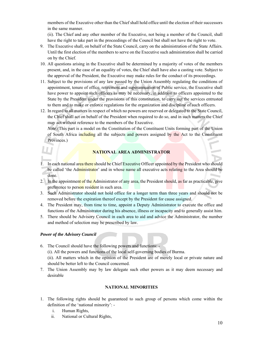members of the Executive other than the Chief shall hold office until the election of their successors in the same manner.

(ii). The Chief and any other member of the Executive, not being a member of the Council, shall have the right to take part in the proceedings of the Council but shall not have the right to vote.

- 9. The Executive shall, on behalf of the State Council, carry on the administration of the State Affairs. Until the first election of the members to serve on the Executive such administration shall be carried on by the Chief.
- 10. All questions arising in the Executive shall be determined by a majority of votes of the members present, and, in the case of an equality of votes, the Chief shall have also a casting vote. Subject to the approval of the President, the Executive may make rules for the conduct of its proceedings.
- 11. Subject to the provisions of any law passed by the Union Assembly regulating the conditions of appointment, tenure of office, retirement and superannuation of Public service, the Executive shall have power to appoint such officers as may be necessary, in addition to officers appointed to the State by the President under the provisions of this constitution, to carry out the services entrusted to them and to make or enforce regulations for the organization and discipline of such officers.
- 12. In regard to all matters in respect of which no powers are reserved or delegated to the State Council, the Chief shall act on behalf of the President when required to do so, and in such matters the Chief may act without reference to the members of the Executive.

*Note:*(This part is a model on the Constitution of the Constituent Units forming part of the Union of South Africa including all the subjects and powers assigned by the Act to the Constituent Provinces.)

#### **NATIONAL AREA ADMINISTRATOR**

- 1. In each national area there should be Chief Executive Officer appointed by the President who should be called 'the Administrator' and in whose name all executive acts relating to the Area should be done.
- 2. In the appointment of the Administrator of any area, the President should, as far as practicable, give preference to person resident in such area.
- 3. Such Administrator should not hold office for a longer term than three years and should not be removed before the expiration thereof except by the President for cause assigned.
- 4. The President may, from time to time, appoint a Deputy Administrator to execute the office and functions of the Administrator during his absence, illness or incapacity and to generally assist him.
- 5. There should be Advisory Council in each area to aid and advice the Administrator, the number and method of selection may be prescribed by law.

#### *Power of the Advisory Council*

6. The Council should have the following powers and functions: -

(i). All the powers and functions of the local self-governing bodies of Burma.

(ii). All matters which in the opinion of the President are of merely local or private nature and should be better left to the Council concerned.

7. The Union Assembly may by law delegate such other powers as it may deem necessary and desirable

### **NATIONAL MINORITIES**

- 1. The following rights should be guaranteed to such group of persons which come within the definition of the 'national minority':
	- i. Human Rights,
	- ii. National or Cultural Rights,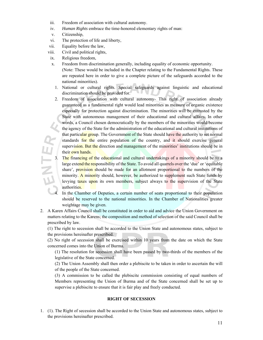- iii. Freedom of association with cultural autonomy.
- iv. *Human Rights* embrace the time-honored elementary rights of man:
- v. Citizenship,
- vi. The protection of life and liberty,
- vii. Equality before the law,
- viii. Civil and political rights,
- ix. Religious freedom,
- x. Freedom from discrimination generally, including equality of economic opportunity. (Note: These would be included in the Chapter relating to the Fundamental Rights. These are repeated here in order to give a complete picture of the safeguards accorded to the national minorities).
	- 1. National or cultural rights. Special safeguards against linguistic and educational discrimination should be provided for.
	- 2. Freedom of association with cultural autonomy- This right of association already guaranteed as a fundamental right would lead minorities as measure of organic existence especially for protection against discrimination. The minorities will be entrusted by the State with autonomous management of their educational and cultural affairs. In other words, a Council chosen democratically by the members of the minorities would become the agency of the State for the administration of the educational and cultural institutions of that particular group. The Government of the State should have the authority to set normal standards for the entire population of the country, and it should exercise general supervision. But the direction and management of the minorities' institutions should be in their own hands.
	- 3. The financing of the educational and cultural undertakings of a minority should be to a large extend the responsibility of the State. To avoid all quarrels over the 'due' or 'equitable share', provision should be made for an allotment proportional to the numbers of the minority. A minority should, however, be authorized to supplement such State funds by levying taxes upon its own members, subject always to the supervision of the State authorities.
	- 4. In the Chamber of Deputies, a certain number of seats proportional to their population should be reserved to the national minorities. In the Chamber of Nationalities greater weightage may be given.
- 2. A Karen Affairs Council shall be constituted in order to aid and advice the Union Government on matters relating to the Karens; the composition and method of selection of the said Council shall be prescribed by law.

(1) The right to secession shall be accorded to the Union State and autonomous states, subject to the provisions hereinafter prescribed.

(2) No right of secession shall be exercised within 10 years from the date on which the State concerned comes into the Union of Burma.

(1) The resolution for secession shall have been passed by two-thirds of the members of the legislative of the State concerned.

(2) The Union Assembly shall then order a plebiscite to be taken in order to ascertain the will of the people of the State concerned.

(3) A commission to be called the plebiscite commission consisting of equal numbers of Members representing the Union of Burma and of the State concerned shall be set up to supervise a plebiscite to ensure that it is fair play and freely conducted.

#### **RIGHT OF SECESSION**

1. (1). The Right of secession shall be accorded to the Union State and autonomous states, subject to the provisions hereinafter prescribed.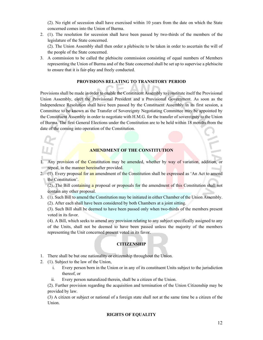(2). No right of secession shall have exercised within 10 years from the date on which the State concerned comes into the Union of Burma.

- 2. (1). The resolution for secession shall have been passed by two-thirds of the members of the legislature of the State concerned. (2). The Union Assembly shall then order a plebiscite to be taken in order to ascertain the will of the people of the State concerned.
- 3. A commission to be called the plebiscite commission consisting of equal numbers of Members representing the Union of Burma and of the State concerned shall be set up to supervise a plebiscite to ensure that it is fair-play and freely conducted.

#### **PROVISIONS RELATING TO TRANSITORY PERIOD**

Provisions shall be made in order to enable the Constituent Assembly to constitute itself the Provisional Union Assembly, elect the Provisional President and a Provisional Government. As soon as the Independence Resolution shall have been passed by the Constituent Assembly in its first session, a Committee to be known as the Transfer of Sovereignty Negotiating Committee may be appointed by the Constituent Assembly in order to negotiate with H.M.G. for the transfer of sovereignty to the Union of Burma. The first General Elections under the Constitution are to be held within 18 months from the date of the coming into operation of the Constitution.

#### **AMENDMENT OF THE CONSTITUTION**

- 1. Any provision of the Constitution may be amended, whether by way of variation, addition, or repeal, in the manner hereinafter provided.
- 2. (1). Every proposal for an amendment of the Constitution shall be expressed as 'An Act to amend the Constitution'.

(2). The Bill containing a proposal or proposals for the amendment of this Constitution shall not contain any other proposal.

3. (1). Such Bill to amend the Constitution may be initiated in either Chamber of the Union Assembly. (2). After each shall have been considered by both Chambers at a joint sitting.

(3). Such Bill shall be deemed to have been passed only when two-thirds of the members present voted in its favor.

(4). A Bill, which seeks to amend any provision relating to any subject specifically assigned to any of the Units, shall not be deemed to have been passed unless the majority of the members representing the Unit concerned present voted in its favor.

### **CITIZENSHIP**

- 1. There shall be but one nationality or citizenship throughout the Union.
- 2. (1). Subject to the law of the Union,
	- i. Every person born in the Union or in any of its constituent Units subject to the jurisdiction thereof, or
	- ii. Every person naturalized therein, shall be a citizen of the Union.

(2). Further provision regarding the acquisition and termination of the Union Citizenship may be provided by law.

(3) A citizen or subject or national of a foreign state shall not at the same time be a citizen of the Union.

#### **RIGHTS OF EQUALITY**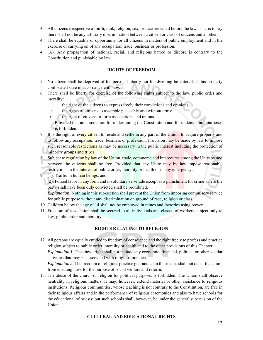- 3. All citizens irrespective of birth, rank, religion, sex, or race are equal before the law. That is to say there shall not be any arbitrary discrimination between a citizen or class of citizens and another.
- 4. There shall be equality or opportunity for all citizens in matters of public employment and in the exercise or carrying on of any occupation, trade, business or profession.
- 4. (A). Any propagation of national, racial, and religious hatred or discord is contrary to the Constitution and punishable by law.

#### **RIGHTS OF FREEDOM**

- 5. No citizen shall be deprived of his personal liberty nor his dwelling be entered, or his property confiscated save in accordance with law.
- 6. There shall be liberty for exercise of the following rights subject to the law, public order and morality:
	- i. the right of the citizens to express freely their convictions and opinions;
	- ii. the rights of citizens to assemble peaceably and without arms;
	- iii. the right of citizens to form associations and unions.

Provided that an association for undermining the Constitution and for undemocratic purposes is forbidden.

- 7. It is the right of every citizen to reside and settle in any part of the Union, to acquire property and to follow any occupation, trade, business or profession. Provision may be made by law to impose such reasonable restrictions as may be necessary in the public interest including the protection of minority groups and tribes.
- 8. Subject to regulation by law of the Union, trade, commerce and intercourse among the Units by and between the citizens shall be free. Provided that any Unite may by law impose reasonable restrictions in the interest of public order, morality or health or in any emergency.
- 9. (1). Traffic in human beings, and (2). Forced labor in any form and involuntary servitude except as a punishment for crime where the party shall have been duly convicted shall be prohibited. *Explanation:* Nothing in this sub-section shall prevent the Union from imposing compulsory service for public purpose without any discrimination on ground of race, religion or class.
- 10. Children below the age of 14 shall not be employed in mines and factories using power.
- 11. Freedom of association shall be secured to all individuals and classes of workers subject only to law, public order and morality.

#### **RIGHTS RELATING TO RELIGION**

- 12. All persons are equally entitled to freedom of conscience and the right freely to profess and practice religion subject to public order, morality or health and to the other provisions of this Chapter. *Explanation 1.* The above right shall not include any economic, financial, political or other secular activities that may be associated with religious practice. *Explanation 2.* The freedom of religious practice guaranteed in this clause shall not debar the Union from enacting laws for the purpose of social welfare and reform.
- 13. The abuse of the church or religion for political purposes is forbidden. The Union shall observe neutrality in religious matters. It may, however, extend material or other assistance to religious institutions. Religious communities, whose teaching is not contrary to the Constitution, are free in their religious affairs and in the performance of religious ceremonies and also to have schools for the educational of priests; but such schools shall, however, be under the general supervision of the Union.

#### **CULTURAL AND EDUCATIONAL RIGHTS**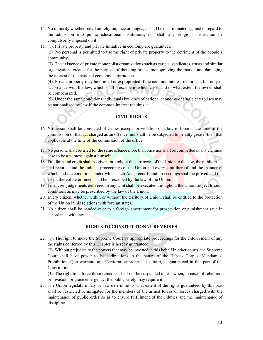- 14. No minority whether based on religion, race or language shall be discriminated against in regard to the admission into public educational institutions, nor shall any religious instruction be compulsorily imposed on it.
- 15. (1). Private property and private initiative in economy are guaranteed.

(2). No personal is permitted to use the right of private property to the detriment of the people's community.

(3). The existence of private monopolist organizations such as cartels, syndicates, trusts and similar organizations created for the purpose of dictating prices, monopolizing the market and damaging the interest of the national economy is forbidden.

(4). Private property may be limited or expropriated if the common interest requires it, but only in accordance with the law, which shall prescribe in which cases and to what extent the owner shall be compensated.

(5). Under the same conditions individuals branches of national economy or single enterprises may be nationalized by law if the common interest requires it.

#### **CIVIL RIGHTS**

- 16. No person shall be convicted of crimes except for violation of a law in force at the time of the commission of that act charged as an offence, nor shall he be subjected to penalty greater than that applicable at the time of the commission of the office.
- 17. No persona shall be tried for the same offence more than once nor shall be compelled in any criminal case to be a witness against himself.
- 18. Full faith and credit shall be given throughout the territories of the Union to the law, the public Acts and records, and the judicial proceedings of the Union and every Unit thereof and the manner in which and the conditions under which such Acts, records and proceedings shall be proved and the effect thereof determined shall be prescribed by the law of the Union.
- 19. Final civil judgements delivered in any Unit shall be executed throughout the Union subject to such conditions as may be prescribed by the law of the Union.
- 20. Every citizen, whether within or without the territory of Union, shall be entitled to the protection of the Union in his relations with foreign states.
- 21. No citizen shall be handed over to a foreign government for prosecution or punishment save in accordance with law.

#### **RIGHTS TO CONSTITUTIONAL REMEDIES**

22. (1). The right to move the Supreme Court by appropriate proceedings for the enforcement of any the rights conferred by this Chapter is hereby guaranteed.

(2). Without prejudice to the powers that may be invested in this behalf in other courts, the Supreme Court shall have power to issue directions in the nature of the Habeas Corpus, Mandamus, Prohibition, Quo warranto and Certiorari appropriate to the right guaranteed in this part of the Constitution.

(3). The right to enforce these remedies shall not be suspended unless when, in cases of rebellion, or invasion, or grace emergency, the public safety may require it.

23. The Union legislature may by law determine to what extent of the rights guaranteed by this part shall be restricted or mitigated for the members of the armed forces or forces charged with the maintenance of public order so as to ensure fulfillment of their duties and the maintenance of discipline.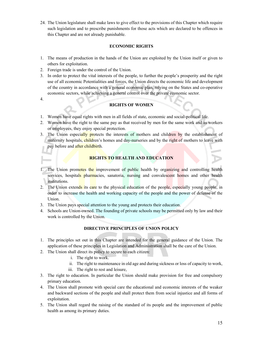24. The Union legislature shall make laws to give effect to the provisions of this Chapter which require such legislation and to prescribe punishments for those acts which are declared to be offences in this Chapter and are not already punishable.

#### **ECONOMIC RIGHTS**

- 1. The means of production in the hands of the Union are exploited by the Union itself or given to others for exploitation.
- 2. Foreign trade is under the control of the Union.
- 3. In order to protect the vital interests of the people, to further the people's prosperity and the right use of all economic Potentialities and forces, the Union directs the economic life and development of the country in accordance with a general economic plan, relying on the States and co-operative economic sectors, while achieving a general control over the private economic sector.
- 4.

#### **RIGHTS OF WOMEN**

- 1. Women have equal rights with men in all fields of state, economic and social-political life.
- 2. Women have the right to the same pay as that received by men for the same work and as workers or employees, they enjoy special protection.
- 3. The Union especially protects the interests of mothers and children by the establishment of maternity hospitals, children's homes and day-nurseries and by the right of mothers to leave with pay before and after childbirth.

#### **RIGHTS TO HEALTH AND EDUCATION**

- 1. The Union promotes the improvement of public health by organizing and controlling health services, hospitals pharmacies, sanatoria, nursing and convalescent homes and other health institutions.
- 2. The Union extends its care to the physical education of the people, especially young people, in order to increase the health and working capacity of the people and the power of defense of the Union.
- 3. The Union pays special attention to the young and protects their education.
- 4. Schools are Union-owned. The founding of private schools may be permitted only by law and their work is controlled by the Union.

#### **DIRECTIVE PRINCIPLES OF UNION POLICY**

- 1. The principles set out in this Chapter are intended for the general guidance of the Union. The application of these principles in Legislation and Administration shall be the care of the Union.
- 2. The Union shall direct its policy to secure to each citizen:
	- i. The right to work.
	- ii. The right to maintenance in old age and during sickness or loss of capacity to work,
	- iii. The right to rest and leisure,
- 3. The right to education. In particular the Union should make provision for free and compulsory primary education.
- 4. The Union shall promote with special care the educational and economic interests of the weaker and backward sections of the people and shall protect them from social injustice and all forms of exploitation.
- 5. The Union shall regard the raising of the standard of its people and the improvement of public health as among its primary duties.